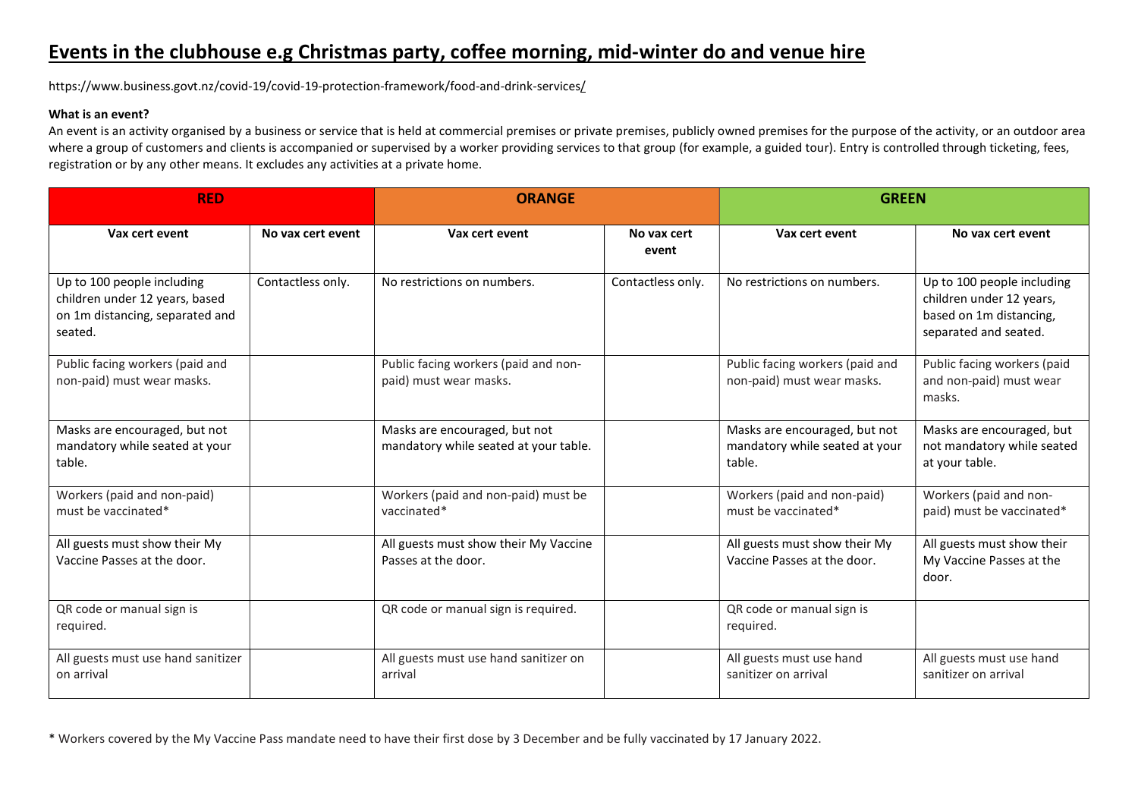https://www.business.govt.nz/covid-19/covid-19-protection-framework/food-and-drink-services/

#### What is an event?

An event is an activity organised by a business or service that is held at commercial premises or private premises, publicly owned premises for the purpose of the activity, or an outdoor area where a group of customers and clients is accompanied or supervised by a worker providing services to that group (for example, a guided tour). Entry is controlled through ticketing, fees, registration or by any other means. It excludes any activities at a private home.

| <b>RED</b>                                                                                                 |                   | <b>ORANGE</b>                                                          |                      | <b>GREEN</b>                                                              |                                                                                                            |
|------------------------------------------------------------------------------------------------------------|-------------------|------------------------------------------------------------------------|----------------------|---------------------------------------------------------------------------|------------------------------------------------------------------------------------------------------------|
| Vax cert event                                                                                             | No yax cert event | Vax cert event                                                         | No vax cert<br>event | Vax cert event                                                            | No yax cert event                                                                                          |
| Up to 100 people including<br>children under 12 years, based<br>on 1m distancing, separated and<br>seated. | Contactless only. | No restrictions on numbers.                                            | Contactless only.    | No restrictions on numbers.                                               | Up to 100 people including<br>children under 12 years,<br>based on 1m distancing,<br>separated and seated. |
| Public facing workers (paid and<br>non-paid) must wear masks.                                              |                   | Public facing workers (paid and non-<br>paid) must wear masks.         |                      | Public facing workers (paid and<br>non-paid) must wear masks.             | Public facing workers (paid<br>and non-paid) must wear<br>masks.                                           |
| Masks are encouraged, but not<br>mandatory while seated at your<br>table.                                  |                   | Masks are encouraged, but not<br>mandatory while seated at your table. |                      | Masks are encouraged, but not<br>mandatory while seated at your<br>table. | Masks are encouraged, but<br>not mandatory while seated<br>at your table.                                  |
| Workers (paid and non-paid)<br>must be vaccinated*                                                         |                   | Workers (paid and non-paid) must be<br>vaccinated*                     |                      | Workers (paid and non-paid)<br>must be vaccinated*                        | Workers (paid and non-<br>paid) must be vaccinated*                                                        |
| All guests must show their My<br>Vaccine Passes at the door.                                               |                   | All guests must show their My Vaccine<br>Passes at the door.           |                      | All guests must show their My<br>Vaccine Passes at the door.              | All guests must show their<br>My Vaccine Passes at the<br>door.                                            |
| QR code or manual sign is<br>required.                                                                     |                   | QR code or manual sign is required.                                    |                      | QR code or manual sign is<br>required.                                    |                                                                                                            |
| All guests must use hand sanitizer<br>on arrival                                                           |                   | All guests must use hand sanitizer on<br>arrival                       |                      | All guests must use hand<br>sanitizer on arrival                          | All guests must use hand<br>sanitizer on arrival                                                           |

\* Workers covered by the My Vaccine Pass mandate need to have their first dose by 3 December and be fully vaccinated by 17 January 2022.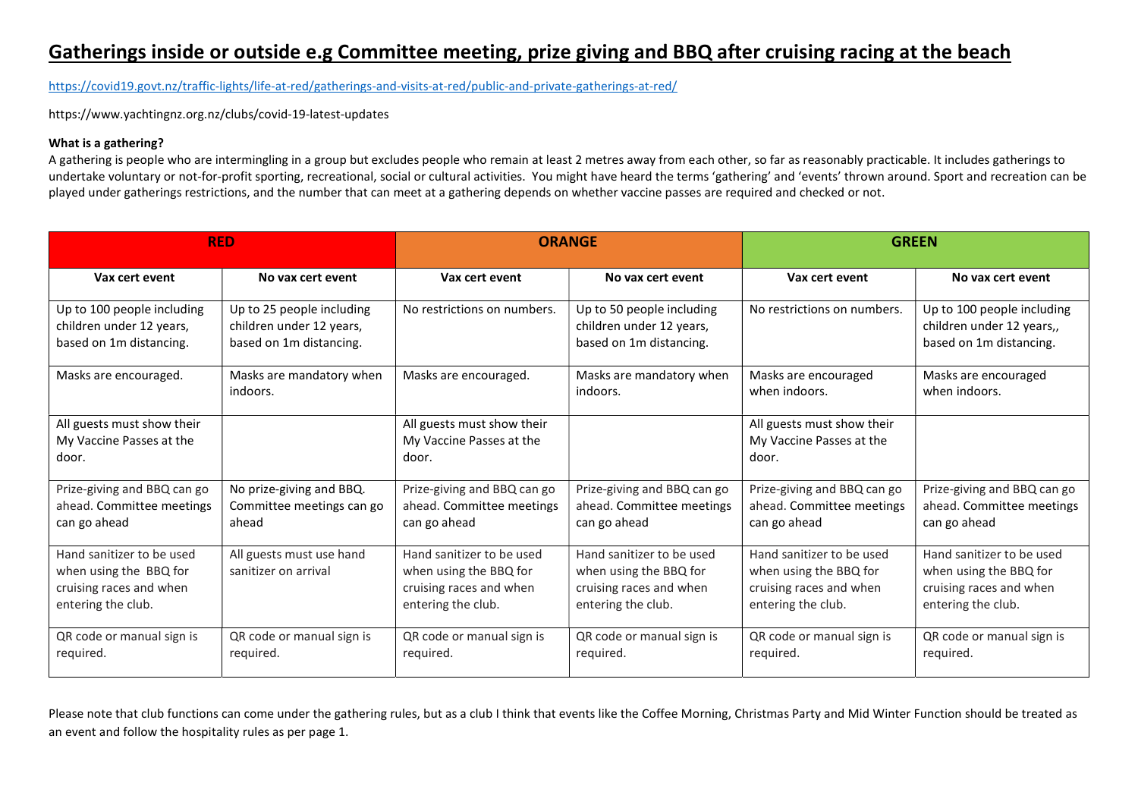## Gatherings inside or outside e.g Committee meeting, prize giving and BBQ after cruising racing at the beach

https://covid19.govt.nz/traffic-lights/life-at-red/gatherings-and-visits-at-red/public-and-private-gatherings-at-red/

https://www.yachtingnz.org.nz/clubs/covid-19-latest-updates

### What is a gathering?

A gathering is people who are intermingling in a group but excludes people who remain at least 2 metres away from each other, so far as reasonably practicable. It includes gatherings to undertake voluntary or not-for-profit sporting, recreational, social or cultural activities. You might have heard the terms 'gathering' and 'events' thrown around. Sport and recreation can be played under gatherings restrictions, and the number that can meet at a gathering depends on whether vaccine passes are required and checked or not.

| <b>RED</b>                                                                                           |                                                                                  | <b>ORANGE</b>                                                                                        |                                                                                                      | <b>GREEN</b>                                                                                         |                                                                                                      |
|------------------------------------------------------------------------------------------------------|----------------------------------------------------------------------------------|------------------------------------------------------------------------------------------------------|------------------------------------------------------------------------------------------------------|------------------------------------------------------------------------------------------------------|------------------------------------------------------------------------------------------------------|
| Vax cert event                                                                                       | No yax cert event                                                                | Vax cert event                                                                                       | No yax cert event                                                                                    | Vax cert event                                                                                       | No yax cert event                                                                                    |
| Up to 100 people including<br>children under 12 years,<br>based on 1m distancing.                    | Up to 25 people including<br>children under 12 years,<br>based on 1m distancing. | No restrictions on numbers.                                                                          | Up to 50 people including<br>children under 12 years,<br>based on 1m distancing.                     | No restrictions on numbers.                                                                          | Up to 100 people including<br>children under 12 years,,<br>based on 1m distancing.                   |
| Masks are encouraged.                                                                                | Masks are mandatory when<br>indoors.                                             | Masks are encouraged.                                                                                | Masks are mandatory when<br>indoors.                                                                 | Masks are encouraged<br>when indoors.                                                                | Masks are encouraged<br>when indoors.                                                                |
| All guests must show their<br>My Vaccine Passes at the<br>door.                                      |                                                                                  | All guests must show their<br>My Vaccine Passes at the<br>door.                                      |                                                                                                      | All guests must show their<br>My Vaccine Passes at the<br>door.                                      |                                                                                                      |
| Prize-giving and BBQ can go<br>ahead. Committee meetings<br>can go ahead                             | No prize-giving and BBQ.<br>Committee meetings can go<br>ahead                   | Prize-giving and BBQ can go<br>ahead. Committee meetings<br>can go ahead                             | Prize-giving and BBQ can go<br>ahead. Committee meetings<br>can go ahead                             | Prize-giving and BBQ can go<br>ahead. Committee meetings<br>can go ahead                             | Prize-giving and BBQ can go<br>ahead. Committee meetings<br>can go ahead                             |
| Hand sanitizer to be used<br>when using the BBQ for<br>cruising races and when<br>entering the club. | All guests must use hand<br>sanitizer on arrival                                 | Hand sanitizer to be used<br>when using the BBQ for<br>cruising races and when<br>entering the club. | Hand sanitizer to be used<br>when using the BBQ for<br>cruising races and when<br>entering the club. | Hand sanitizer to be used<br>when using the BBQ for<br>cruising races and when<br>entering the club. | Hand sanitizer to be used<br>when using the BBQ for<br>cruising races and when<br>entering the club. |
| QR code or manual sign is<br>required.                                                               | QR code or manual sign is<br>required.                                           | QR code or manual sign is<br>required.                                                               | QR code or manual sign is<br>required.                                                               | QR code or manual sign is<br>required.                                                               | QR code or manual sign is<br>required.                                                               |

Please note that club functions can come under the gathering rules, but as a club I think that events like the Coffee Morning, Christmas Party and Mid Winter Function should be treated as an event and follow the hospitality rules as per page 1.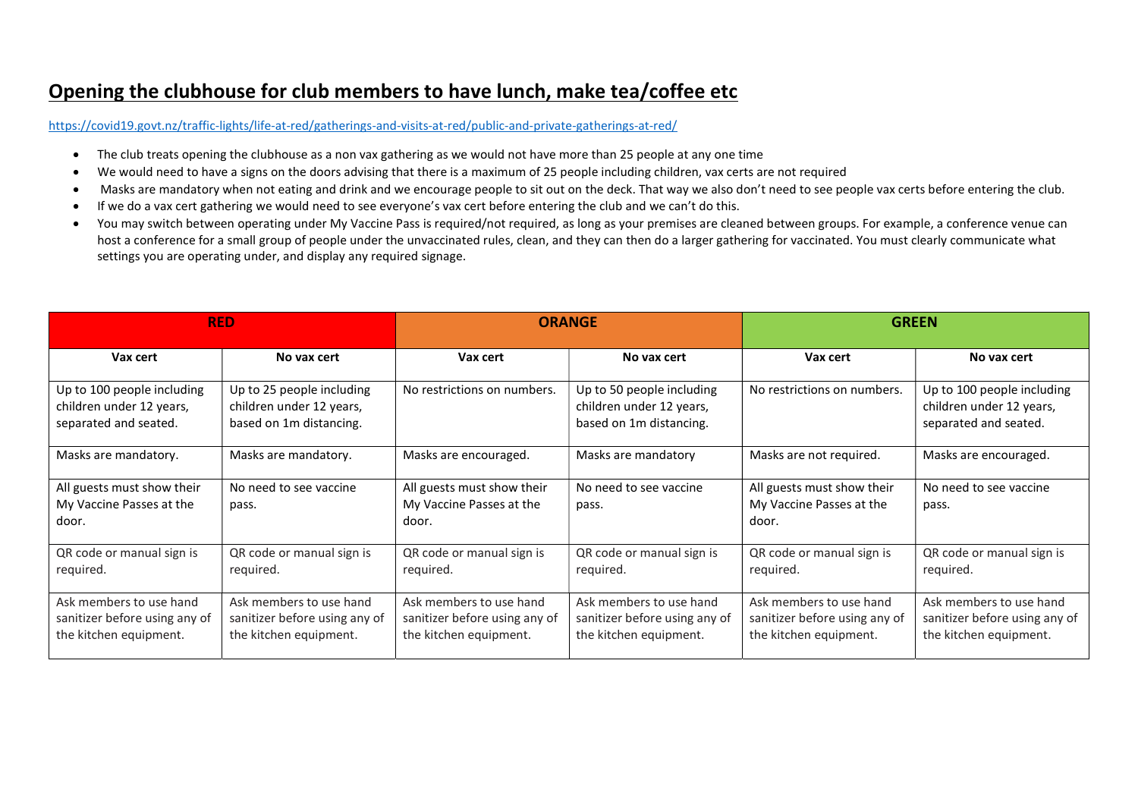### Opening the clubhouse for club members to have lunch, make tea/coffee etc

https://covid19.govt.nz/traffic-lights/life-at-red/gatherings-and-visits-at-red/public-and-private-gatherings-at-red/

- The club treats opening the clubhouse as a non vax gathering as we would not have more than 25 people at any one time
- We would need to have a signs on the doors advising that there is a maximum of 25 people including children, vax certs are not required
- Masks are mandatory when not eating and drink and we encourage people to sit out on the deck. That way we also don't need to see people vax certs before entering the club.
- If we do a vax cert gathering we would need to see everyone's vax cert before entering the club and we can't do this.
- You may switch between operating under My Vaccine Pass is required/not required, as long as your premises are cleaned between groups. For example, a conference venue can host a conference for a small group of people under the unvaccinated rules, clean, and they can then do a larger gathering for vaccinated. You must clearly communicate what settings you are operating under, and display any required signage.

| <b>RED</b>                                                                         |                                                                                    | <b>ORANGE</b>                                                                      |                                                                                    | <b>GREEN</b>                                                                       |                                                                                    |
|------------------------------------------------------------------------------------|------------------------------------------------------------------------------------|------------------------------------------------------------------------------------|------------------------------------------------------------------------------------|------------------------------------------------------------------------------------|------------------------------------------------------------------------------------|
| Vax cert                                                                           | No yax cert                                                                        | Vax cert                                                                           | No vax cert                                                                        | Vax cert                                                                           | No vax cert                                                                        |
| Up to 100 people including<br>children under 12 years,<br>separated and seated.    | Up to 25 people including<br>children under 12 years,<br>based on 1m distancing.   | No restrictions on numbers.                                                        | Up to 50 people including<br>children under 12 years,<br>based on 1m distancing.   | No restrictions on numbers.                                                        | Up to 100 people including<br>children under 12 years,<br>separated and seated.    |
| Masks are mandatory.                                                               | Masks are mandatory.                                                               | Masks are encouraged.                                                              | Masks are mandatory                                                                | Masks are not required.                                                            | Masks are encouraged.                                                              |
| All guests must show their<br>My Vaccine Passes at the<br>door.                    | No need to see vaccine<br>pass.                                                    | All guests must show their<br>My Vaccine Passes at the<br>door.                    | No need to see vaccine<br>pass.                                                    | All guests must show their<br>My Vaccine Passes at the<br>door.                    | No need to see vaccine<br>pass.                                                    |
| QR code or manual sign is<br>required.                                             | QR code or manual sign is<br>required.                                             | QR code or manual sign is<br>required.                                             | QR code or manual sign is<br>required.                                             | QR code or manual sign is<br>required.                                             | QR code or manual sign is<br>required.                                             |
| Ask members to use hand<br>sanitizer before using any of<br>the kitchen equipment. | Ask members to use hand<br>sanitizer before using any of<br>the kitchen equipment. | Ask members to use hand<br>sanitizer before using any of<br>the kitchen equipment. | Ask members to use hand<br>sanitizer before using any of<br>the kitchen equipment. | Ask members to use hand<br>sanitizer before using any of<br>the kitchen equipment. | Ask members to use hand<br>sanitizer before using any of<br>the kitchen equipment. |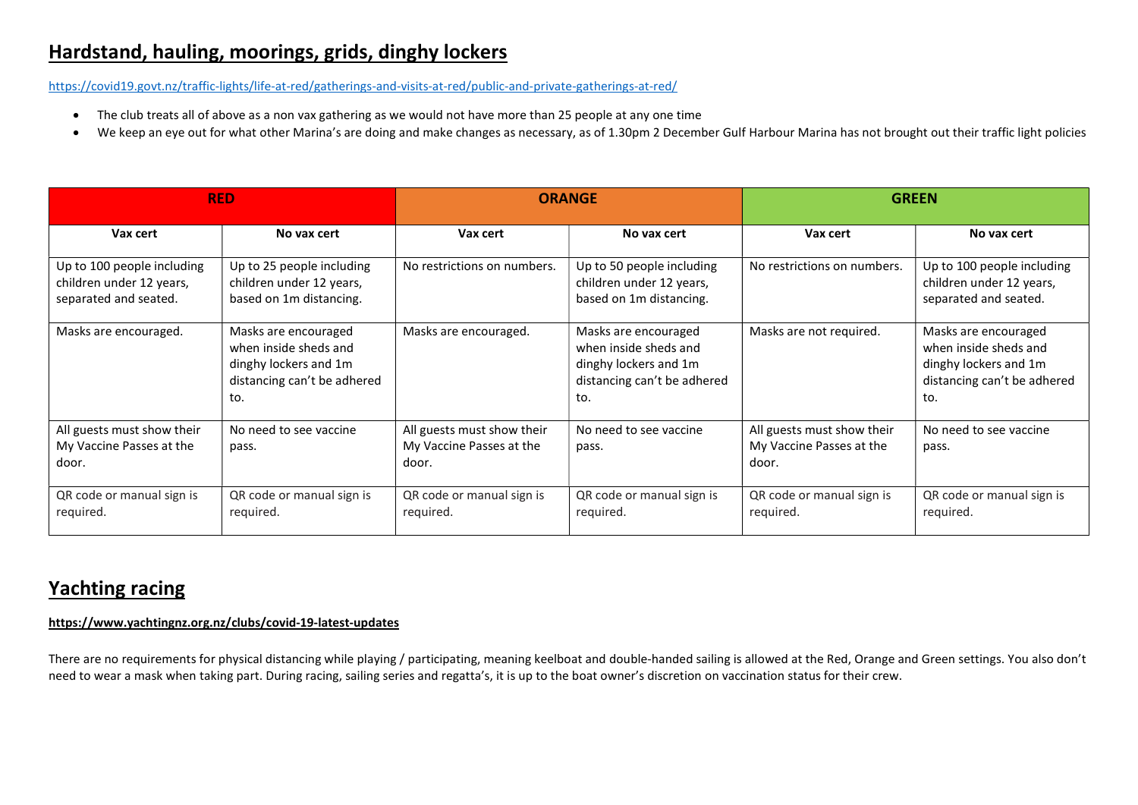# Hardstand, hauling, moorings, grids, dinghy lockers

https://covid19.govt.nz/traffic-lights/life-at-red/gatherings-and-visits-at-red/public-and-private-gatherings-at-red/

- The club treats all of above as a non vax gathering as we would not have more than 25 people at any one time
- We keep an eye out for what other Marina's are doing and make changes as necessary, as of 1.30pm 2 December Gulf Harbour Marina has not brought out their traffic light policies

| <b>RED</b>                                                                      |                                                                                                              | <b>ORANGE</b>                                                   |                                                                                                              | <b>GREEN</b>                                                    |                                                                                                              |
|---------------------------------------------------------------------------------|--------------------------------------------------------------------------------------------------------------|-----------------------------------------------------------------|--------------------------------------------------------------------------------------------------------------|-----------------------------------------------------------------|--------------------------------------------------------------------------------------------------------------|
| Vax cert                                                                        | No vax cert                                                                                                  | Vax cert                                                        | No vax cert                                                                                                  | Vax cert                                                        | No vax cert                                                                                                  |
| Up to 100 people including<br>children under 12 years,<br>separated and seated. | Up to 25 people including<br>children under 12 years,<br>based on 1m distancing.                             | No restrictions on numbers.                                     | Up to 50 people including<br>children under 12 years,<br>based on 1m distancing.                             | No restrictions on numbers.                                     | Up to 100 people including<br>children under 12 years,<br>separated and seated.                              |
| Masks are encouraged.                                                           | Masks are encouraged<br>when inside sheds and<br>dinghy lockers and 1m<br>distancing can't be adhered<br>to. | Masks are encouraged.                                           | Masks are encouraged<br>when inside sheds and<br>dinghy lockers and 1m<br>distancing can't be adhered<br>to. | Masks are not required.                                         | Masks are encouraged<br>when inside sheds and<br>dinghy lockers and 1m<br>distancing can't be adhered<br>to. |
| All guests must show their<br>My Vaccine Passes at the<br>door.                 | No need to see vaccine<br>pass.                                                                              | All guests must show their<br>My Vaccine Passes at the<br>door. | No need to see vaccine<br>pass.                                                                              | All guests must show their<br>My Vaccine Passes at the<br>door. | No need to see vaccine<br>pass.                                                                              |
| QR code or manual sign is<br>required.                                          | QR code or manual sign is<br>required.                                                                       | QR code or manual sign is<br>required.                          | QR code or manual sign is<br>required.                                                                       | QR code or manual sign is<br>required.                          | QR code or manual sign is<br>required.                                                                       |

# Yachting racing

### https://www.yachtingnz.org.nz/clubs/covid-19-latest-updates

There are no requirements for physical distancing while playing / participating, meaning keelboat and double-handed sailing is allowed at the Red, Orange and Green settings. You also don't need to wear a mask when taking part. During racing, sailing series and regatta's, it is up to the boat owner's discretion on vaccination status for their crew.